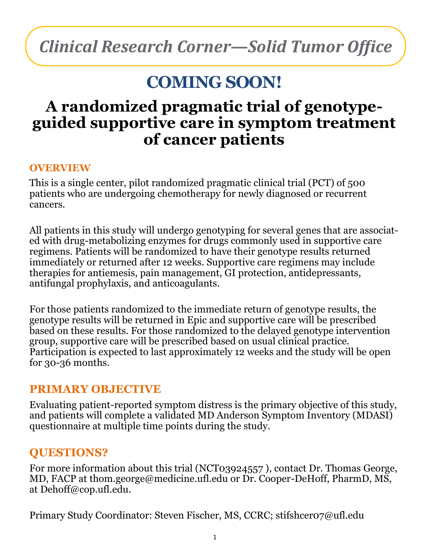# *Clinical Research Corner—Solid Tumor Office*

## **COMING SOON!**

### **A randomized pragmatic trial of genotypeguided supportive care in symptom treatment of cancer patients**

#### **OVERVIEW**

This is a single center, pilot randomized pragmatic clinical trial (PCT) of 500 patients who are undergoing chemotherapy for newly diagnosed or recurrent cancers.

All patients in this study will undergo genotyping for several genes that are associated with drug-metabolizing enzymes for drugs commonly used in supportive care regimens. Patients will be randomized to have their genotype results returned immediately or returned after 12 weeks. Supportive care regimens may include therapies for antiemesis, pain management, GI protection, antidepressants, antifungal prophylaxis, and anticoagulants.

For those patients randomized to the immediate return of genotype results, the genotype results will be returned in Epic and supportive care will be prescribed based on these results. For those randomized to the delayed genotype intervention group, supportive care will be prescribed based on usual clinical practice. Participation is expected to last approximately 12 weeks and the study will be open for 30-36 months.

#### **PRIMARY OBJECTIVE**

Evaluating patient-reported symptom distress is the primary objective of this study, and patients will complete a validated MD Anderson Symptom Inventory (MDASI) questionnaire at multiple time points during the study.

#### **QUESTIONS?**

For more information about this trial (NCT03924557 ), contact Dr. Thomas George, MD, FACP at thom.george@medicine.ufl.edu or Dr. Cooper-DeHoff, PharmD, MS, at Dehoff@cop.ufl.edu.

Primary Study Coordinator: Steven Fischer, MS, CCRC; stifshcer07@ufl.edu